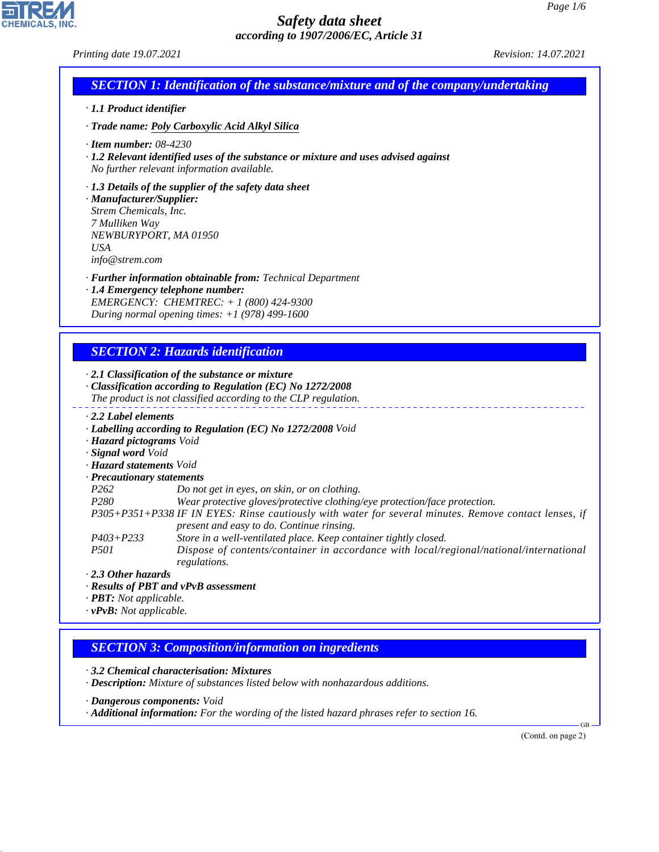## *Printing date 19.07.2021 Revision: 14.07.2021*

CHEMICALS, INC.

Г

44.1.1

|                                                                                                                                                                                                                                                                                | <b>SECTION 1: Identification of the substance/mixture and of the company/undertaking</b>                                                                                                                                                                                                                                                                                                                                                                                                                                                                             |
|--------------------------------------------------------------------------------------------------------------------------------------------------------------------------------------------------------------------------------------------------------------------------------|----------------------------------------------------------------------------------------------------------------------------------------------------------------------------------------------------------------------------------------------------------------------------------------------------------------------------------------------------------------------------------------------------------------------------------------------------------------------------------------------------------------------------------------------------------------------|
| · 1.1 Product identifier                                                                                                                                                                                                                                                       |                                                                                                                                                                                                                                                                                                                                                                                                                                                                                                                                                                      |
|                                                                                                                                                                                                                                                                                | · Trade name: Poly Carboxylic Acid Alkyl Silica                                                                                                                                                                                                                                                                                                                                                                                                                                                                                                                      |
| $\cdot$ Item number: 08-4230                                                                                                                                                                                                                                                   | · 1.2 Relevant identified uses of the substance or mixture and uses advised against<br>No further relevant information available.                                                                                                                                                                                                                                                                                                                                                                                                                                    |
| · Manufacturer/Supplier:<br>Strem Chemicals, Inc.<br>7 Mulliken Way<br>NEWBURYPORT, MA 01950<br><b>USA</b><br>info@strem.com                                                                                                                                                   | $\cdot$ 1.3 Details of the supplier of the safety data sheet                                                                                                                                                                                                                                                                                                                                                                                                                                                                                                         |
|                                                                                                                                                                                                                                                                                | · Further information obtainable from: Technical Department<br>· 1.4 Emergency telephone number:<br>EMERGENCY: CHEMTREC: + 1 (800) 424-9300<br>During normal opening times: $+1$ (978) 499-1600                                                                                                                                                                                                                                                                                                                                                                      |
|                                                                                                                                                                                                                                                                                | <b>SECTION 2: Hazards identification</b>                                                                                                                                                                                                                                                                                                                                                                                                                                                                                                                             |
|                                                                                                                                                                                                                                                                                | $\cdot$ 2.1 Classification of the substance or mixture<br>· Classification according to Regulation (EC) No 1272/2008<br>The product is not classified according to the CLP regulation.                                                                                                                                                                                                                                                                                                                                                                               |
| · Hazard pictograms Void<br>· Signal word Void<br>· Hazard statements Void<br>· Precautionary statements<br>P <sub>262</sub><br>P <sub>280</sub><br>$P403 + P233$<br>P501<br>$\cdot$ 2.3 Other hazards<br>$\cdot$ <b>PBT:</b> Not applicable.<br>$\cdot$ vPvB: Not applicable. | · Labelling according to Regulation (EC) No 1272/2008 Void<br>Do not get in eyes, on skin, or on clothing.<br>Wear protective gloves/protective clothing/eye protection/face protection.<br>P305+P351+P338 IF IN EYES: Rinse cautiously with water for several minutes. Remove contact lenses, if<br>present and easy to do. Continue rinsing.<br>Store in a well-ventilated place. Keep container tightly closed.<br>Dispose of contents/container in accordance with local/regional/national/international<br>regulations.<br>· Results of PBT and vPvB assessment |
|                                                                                                                                                                                                                                                                                | <b>SECTION 3: Composition/information on ingredients</b>                                                                                                                                                                                                                                                                                                                                                                                                                                                                                                             |
|                                                                                                                                                                                                                                                                                | $\cdot$ 3.2 Chemical characterisation: Mixtures<br>· Description: Mixture of substances listed below with nonhazardous additions.<br>· Dangerous components: Void                                                                                                                                                                                                                                                                                                                                                                                                    |
|                                                                                                                                                                                                                                                                                | Additional information: For the wording of the listed hazard phrases refer to section 16.                                                                                                                                                                                                                                                                                                                                                                                                                                                                            |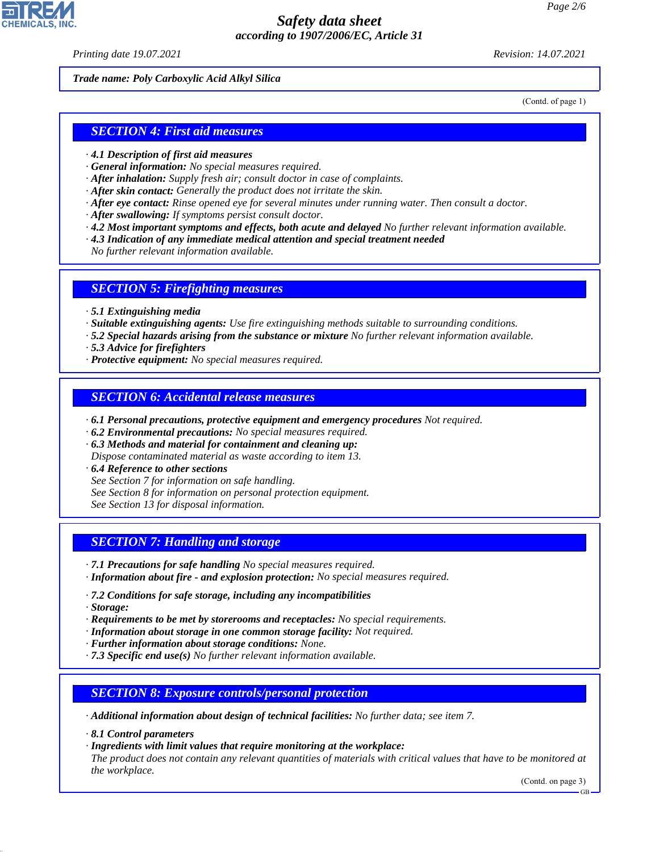*Printing date 19.07.2021 Revision: 14.07.2021*

*Trade name: Poly Carboxylic Acid Alkyl Silica*

(Contd. of page 1)

### *SECTION 4: First aid measures*

- *· 4.1 Description of first aid measures*
- *· General information: No special measures required.*
- *· After inhalation: Supply fresh air; consult doctor in case of complaints.*
- *· After skin contact: Generally the product does not irritate the skin.*
- *· After eye contact: Rinse opened eye for several minutes under running water. Then consult a doctor.*
- *· After swallowing: If symptoms persist consult doctor.*
- *· 4.2 Most important symptoms and effects, both acute and delayed No further relevant information available.*
- *· 4.3 Indication of any immediate medical attention and special treatment needed*

*No further relevant information available.*

#### *SECTION 5: Firefighting measures*

- *· 5.1 Extinguishing media*
- *· Suitable extinguishing agents: Use fire extinguishing methods suitable to surrounding conditions.*
- *· 5.2 Special hazards arising from the substance or mixture No further relevant information available.*
- *· 5.3 Advice for firefighters*
- *· Protective equipment: No special measures required.*

### *SECTION 6: Accidental release measures*

- *· 6.1 Personal precautions, protective equipment and emergency procedures Not required.*
- *· 6.2 Environmental precautions: No special measures required.*
- *· 6.3 Methods and material for containment and cleaning up:*
- *Dispose contaminated material as waste according to item 13.*
- *· 6.4 Reference to other sections*
- *See Section 7 for information on safe handling.*
- *See Section 8 for information on personal protection equipment.*
- *See Section 13 for disposal information.*

### *SECTION 7: Handling and storage*

- *· 7.1 Precautions for safe handling No special measures required.*
- *· Information about fire and explosion protection: No special measures required.*
- *· 7.2 Conditions for safe storage, including any incompatibilities*
- *· Storage:*

44.1.1

- *· Requirements to be met by storerooms and receptacles: No special requirements.*
- *· Information about storage in one common storage facility: Not required.*
- *· Further information about storage conditions: None.*
- *· 7.3 Specific end use(s) No further relevant information available.*

### *SECTION 8: Exposure controls/personal protection*

- *· Additional information about design of technical facilities: No further data; see item 7.*
- *· 8.1 Control parameters*
- *· Ingredients with limit values that require monitoring at the workplace:*
- *The product does not contain any relevant quantities of materials with critical values that have to be monitored at the workplace.*

(Contd. on page 3)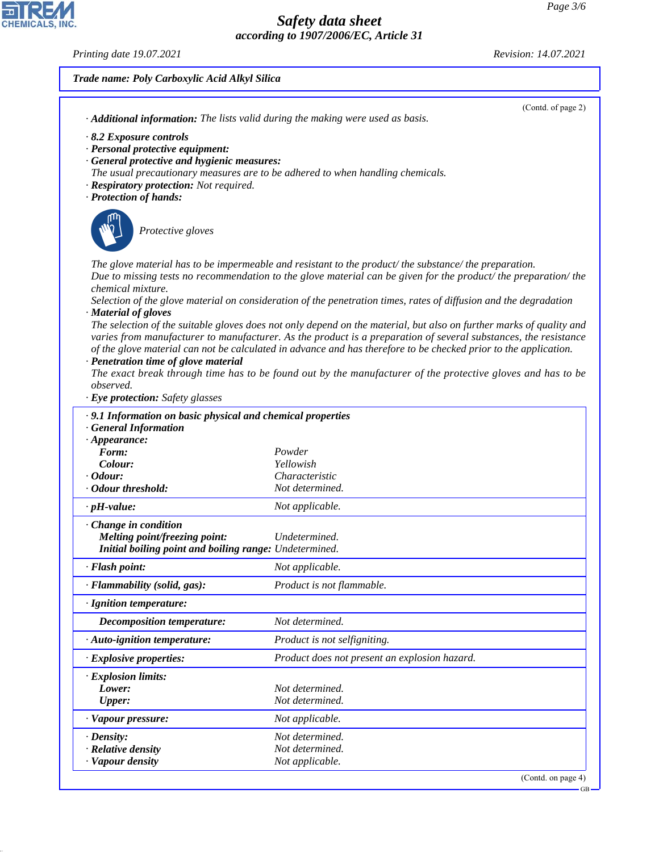*Printing date 19.07.2021 Revision: 14.07.2021*

 $\overline{\mathbf{r}}$ 

CHEMICALS, INC.

44.1.1

|                                                                                                                                                                                                                                                                 | Trade name: Poly Carboxylic Acid Alkyl Silica                                                                                                                                                                                                                                                                                                                                                                                                                                                                                                                                                                                                                                                                                                                                                                             |  |  |  |  |
|-----------------------------------------------------------------------------------------------------------------------------------------------------------------------------------------------------------------------------------------------------------------|---------------------------------------------------------------------------------------------------------------------------------------------------------------------------------------------------------------------------------------------------------------------------------------------------------------------------------------------------------------------------------------------------------------------------------------------------------------------------------------------------------------------------------------------------------------------------------------------------------------------------------------------------------------------------------------------------------------------------------------------------------------------------------------------------------------------------|--|--|--|--|
| · Additional information: The lists valid during the making were used as basis.                                                                                                                                                                                 | (Contd. of page 2)                                                                                                                                                                                                                                                                                                                                                                                                                                                                                                                                                                                                                                                                                                                                                                                                        |  |  |  |  |
| 8.2 Exposure controls<br>· Personal protective equipment:<br>· General protective and hygienic measures:<br>The usual precautionary measures are to be adhered to when handling chemicals.<br>· Respiratory protection: Not required.<br>· Protection of hands: |                                                                                                                                                                                                                                                                                                                                                                                                                                                                                                                                                                                                                                                                                                                                                                                                                           |  |  |  |  |
| Protective gloves                                                                                                                                                                                                                                               |                                                                                                                                                                                                                                                                                                                                                                                                                                                                                                                                                                                                                                                                                                                                                                                                                           |  |  |  |  |
| chemical mixture.<br>· Material of gloves<br>· Penetration time of glove material<br>observed.<br>· Eye protection: Safety glasses                                                                                                                              | The glove material has to be impermeable and resistant to the product/ the substance/ the preparation.<br>Due to missing tests no recommendation to the glove material can be given for the product/the preparation/the<br>Selection of the glove material on consideration of the penetration times, rates of diffusion and the degradation<br>The selection of the suitable gloves does not only depend on the material, but also on further marks of quality and<br>varies from manufacturer to manufacturer. As the product is a preparation of several substances, the resistance<br>of the glove material can not be calculated in advance and has therefore to be checked prior to the application.<br>The exact break through time has to be found out by the manufacturer of the protective gloves and has to be |  |  |  |  |
| · 9.1 Information on basic physical and chemical properties<br><b>General Information</b>                                                                                                                                                                       |                                                                                                                                                                                                                                                                                                                                                                                                                                                                                                                                                                                                                                                                                                                                                                                                                           |  |  |  |  |
| $\cdot$ Appearance:<br>Form:<br>Colour:<br><i>Codour:</i><br>Odour threshold:                                                                                                                                                                                   | Powder<br>Yellowish<br>Characteristic<br>Not determined.                                                                                                                                                                                                                                                                                                                                                                                                                                                                                                                                                                                                                                                                                                                                                                  |  |  |  |  |
| $\cdot$ pH-value:                                                                                                                                                                                                                                               | Not applicable.                                                                                                                                                                                                                                                                                                                                                                                                                                                                                                                                                                                                                                                                                                                                                                                                           |  |  |  |  |
| · Change in condition<br>Melting point/freezing point:<br>Initial boiling point and boiling range: Undetermined.                                                                                                                                                | Undetermined.                                                                                                                                                                                                                                                                                                                                                                                                                                                                                                                                                                                                                                                                                                                                                                                                             |  |  |  |  |
| · Flash point:                                                                                                                                                                                                                                                  | Not applicable.                                                                                                                                                                                                                                                                                                                                                                                                                                                                                                                                                                                                                                                                                                                                                                                                           |  |  |  |  |
| · Flammability (solid, gas):                                                                                                                                                                                                                                    | Product is not flammable.                                                                                                                                                                                                                                                                                                                                                                                                                                                                                                                                                                                                                                                                                                                                                                                                 |  |  |  |  |
| · Ignition temperature:                                                                                                                                                                                                                                         |                                                                                                                                                                                                                                                                                                                                                                                                                                                                                                                                                                                                                                                                                                                                                                                                                           |  |  |  |  |

*Decomposition temperature: Not determined.*

*Lower: Not determined. Upper: Not determined. · Vapour pressure: Not applicable. · Density: Not determined. · Relative density Not determined. · Vapour density Not applicable.*

*· Explosion limits:*

*· Auto-ignition temperature: Product is not selfigniting.*

*· Explosive properties: Product does not present an explosion hazard.*

GB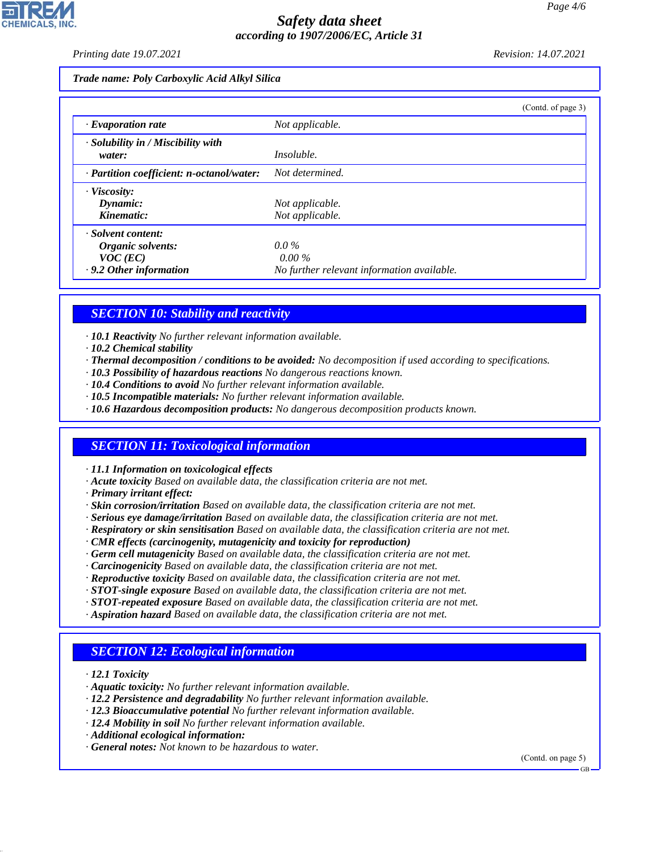*Printing date 19.07.2021 Revision: 14.07.2021*

*Trade name: Poly Carboxylic Acid Alkyl Silica*

|                                                    | (Contd. of page 3)                         |
|----------------------------------------------------|--------------------------------------------|
| $\cdot$ Evaporation rate                           | Not applicable.                            |
| $\cdot$ Solubility in / Miscibility with<br>water: | <i>Insoluble.</i>                          |
| $\cdot$ Partition coefficient: n-octanol/water:    | Not determined.                            |
| · Viscosity:                                       |                                            |
| Dynamic:                                           | Not applicable.                            |
| Kinematic:                                         | Not applicable.                            |
| · Solvent content:                                 |                                            |
| Organic solvents:                                  | $0.0\%$                                    |
| $VOC$ (EC)                                         | $0.00\%$                                   |
| .9.2 Other information                             | No further relevant information available. |

## *SECTION 10: Stability and reactivity*

*· 10.1 Reactivity No further relevant information available.*

- *· 10.2 Chemical stability*
- *· Thermal decomposition / conditions to be avoided: No decomposition if used according to specifications.*
- *· 10.3 Possibility of hazardous reactions No dangerous reactions known.*
- *· 10.4 Conditions to avoid No further relevant information available.*
- *· 10.5 Incompatible materials: No further relevant information available.*
- *· 10.6 Hazardous decomposition products: No dangerous decomposition products known.*

## *SECTION 11: Toxicological information*

*· 11.1 Information on toxicological effects*

- *· Acute toxicity Based on available data, the classification criteria are not met.*
- *· Primary irritant effect:*
- *· Skin corrosion/irritation Based on available data, the classification criteria are not met.*
- *· Serious eye damage/irritation Based on available data, the classification criteria are not met.*
- *· Respiratory or skin sensitisation Based on available data, the classification criteria are not met.*
- *· CMR effects (carcinogenity, mutagenicity and toxicity for reproduction)*
- *· Germ cell mutagenicity Based on available data, the classification criteria are not met.*
- *· Carcinogenicity Based on available data, the classification criteria are not met.*
- *· Reproductive toxicity Based on available data, the classification criteria are not met.*
- *· STOT-single exposure Based on available data, the classification criteria are not met.*
- *· STOT-repeated exposure Based on available data, the classification criteria are not met.*
- *· Aspiration hazard Based on available data, the classification criteria are not met.*

# *SECTION 12: Ecological information*

*· 12.1 Toxicity*

44.1.1

- *· Aquatic toxicity: No further relevant information available.*
- *· 12.2 Persistence and degradability No further relevant information available.*
- *· 12.3 Bioaccumulative potential No further relevant information available.*
- *· 12.4 Mobility in soil No further relevant information available.*
- *· Additional ecological information:*
- *· General notes: Not known to be hazardous to water.*

(Contd. on page 5)

GB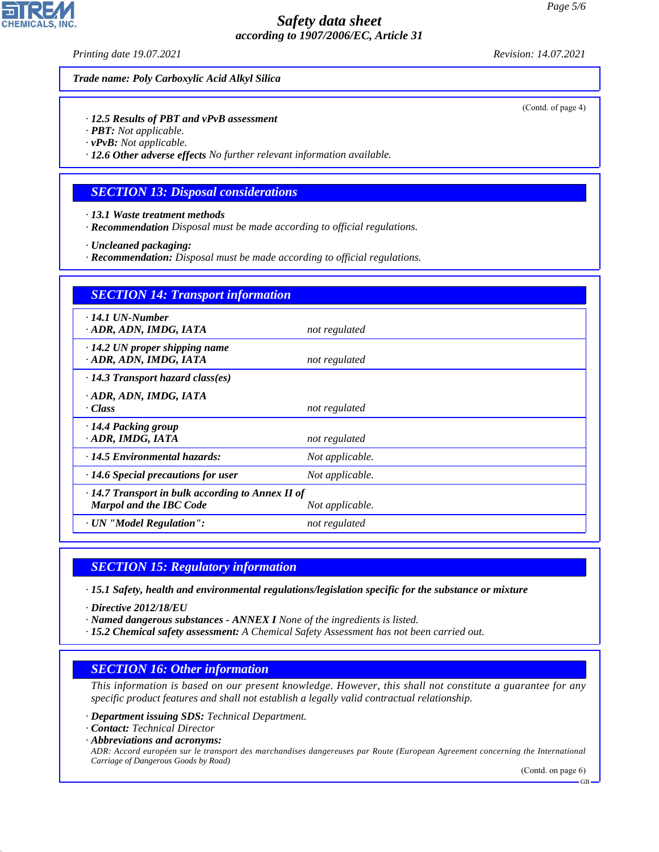*Printing date 19.07.2021 Revision: 14.07.2021*

*Trade name: Poly Carboxylic Acid Alkyl Silica*

*· 12.5 Results of PBT and vPvB assessment*

- *· PBT: Not applicable.*
- *· vPvB: Not applicable.*

*· 12.6 Other adverse effects No further relevant information available.*

### *SECTION 13: Disposal considerations*

*· 13.1 Waste treatment methods*

*· Recommendation Disposal must be made according to official regulations.*

*· Uncleaned packaging:*

*· Recommendation: Disposal must be made according to official regulations.*

| <b>SECTION 14: Transport information</b>                                                                     |                 |  |  |  |
|--------------------------------------------------------------------------------------------------------------|-----------------|--|--|--|
| $\cdot$ 14.1 UN-Number<br>· ADR, ADN, IMDG, IATA                                                             | not regulated   |  |  |  |
| $\cdot$ 14.2 UN proper shipping name<br>· ADR, ADN, IMDG, IATA                                               | not regulated   |  |  |  |
| $\cdot$ 14.3 Transport hazard class(es)                                                                      |                 |  |  |  |
| · ADR, ADN, IMDG, IATA<br>· Class                                                                            | not regulated   |  |  |  |
| ⋅14.4 Packing group<br>· ADR, IMDG, IATA                                                                     | not regulated   |  |  |  |
| $\cdot$ 14.5 Environmental hazards:                                                                          | Not applicable. |  |  |  |
| $\cdot$ 14.6 Special precautions for user                                                                    | Not applicable. |  |  |  |
| $\cdot$ 14.7 Transport in bulk according to Annex II of<br><b>Marpol and the IBC Code</b><br>Not applicable. |                 |  |  |  |
| · UN "Model Regulation":                                                                                     | not regulated   |  |  |  |

### *SECTION 15: Regulatory information*

*· 15.1 Safety, health and environmental regulations/legislation specific for the substance or mixture*

*· Directive 2012/18/EU*

- *· Named dangerous substances ANNEX I None of the ingredients is listed.*
- *· 15.2 Chemical safety assessment: A Chemical Safety Assessment has not been carried out.*

### *SECTION 16: Other information*

*This information is based on our present knowledge. However, this shall not constitute a guarantee for any specific product features and shall not establish a legally valid contractual relationship.*

- *· Department issuing SDS: Technical Department.*
- *· Contact: Technical Director*
- *· Abbreviations and acronyms:*

44.1.1

*ADR: Accord européen sur le transport des marchandises dangereuses par Route (European Agreement concerning the International Carriage of Dangerous Goods by Road)*

(Contd. on page 6)

**CHEMICALS.** 

(Contd. of page 4)